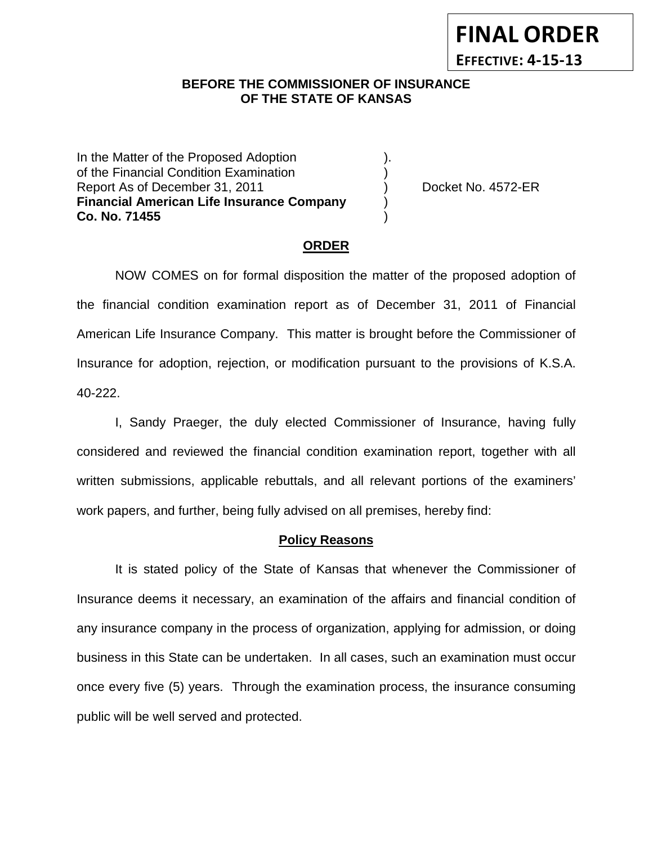## **BEFORE THE COMMISSIONER OF INSURANCE OF THE STATE OF KANSAS**

In the Matter of the Proposed Adoption. of the Financial Condition Examination ) Report As of December 31, 2011 (and Separate Left No. 4572-ER **Financial American Life Insurance Company** ) **Co. No. 71455** )

**FINAL ORDER**

**EFFECTIVE: 4-15-13**

#### **ORDER**

NOW COMES on for formal disposition the matter of the proposed adoption of the financial condition examination report as of December 31, 2011 of Financial American Life Insurance Company. This matter is brought before the Commissioner of Insurance for adoption, rejection, or modification pursuant to the provisions of K.S.A. 40-222.

I, Sandy Praeger, the duly elected Commissioner of Insurance, having fully considered and reviewed the financial condition examination report, together with all written submissions, applicable rebuttals, and all relevant portions of the examiners' work papers, and further, being fully advised on all premises, hereby find:

#### **Policy Reasons**

It is stated policy of the State of Kansas that whenever the Commissioner of Insurance deems it necessary, an examination of the affairs and financial condition of any insurance company in the process of organization, applying for admission, or doing business in this State can be undertaken. In all cases, such an examination must occur once every five (5) years. Through the examination process, the insurance consuming public will be well served and protected.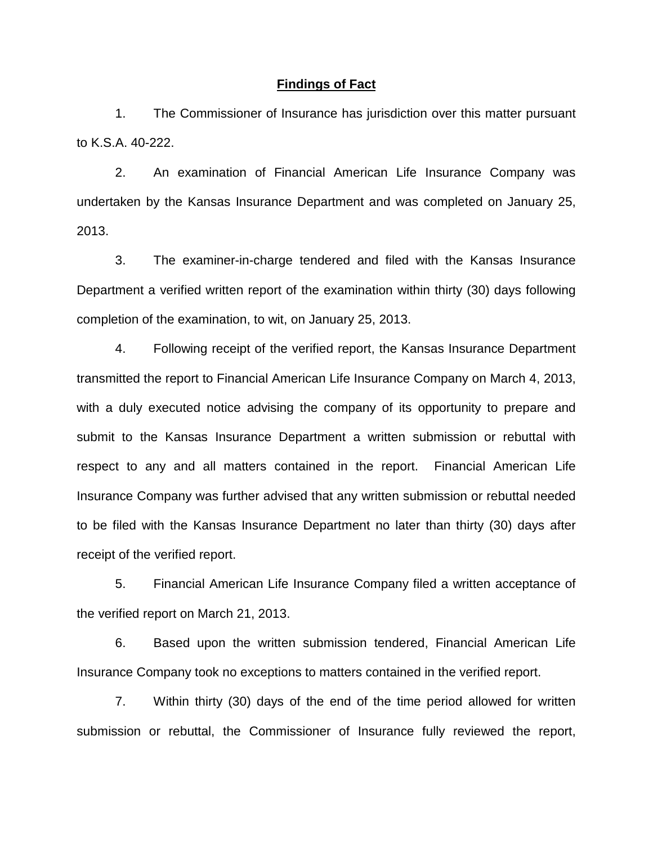#### **Findings of Fact**

1. The Commissioner of Insurance has jurisdiction over this matter pursuant to K.S.A. 40-222.

2. An examination of Financial American Life Insurance Company was undertaken by the Kansas Insurance Department and was completed on January 25, 2013.

3. The examiner-in-charge tendered and filed with the Kansas Insurance Department a verified written report of the examination within thirty (30) days following completion of the examination, to wit, on January 25, 2013.

4. Following receipt of the verified report, the Kansas Insurance Department transmitted the report to Financial American Life Insurance Company on March 4, 2013, with a duly executed notice advising the company of its opportunity to prepare and submit to the Kansas Insurance Department a written submission or rebuttal with respect to any and all matters contained in the report. Financial American Life Insurance Company was further advised that any written submission or rebuttal needed to be filed with the Kansas Insurance Department no later than thirty (30) days after receipt of the verified report.

5. Financial American Life Insurance Company filed a written acceptance of the verified report on March 21, 2013.

6. Based upon the written submission tendered, Financial American Life Insurance Company took no exceptions to matters contained in the verified report.

7. Within thirty (30) days of the end of the time period allowed for written submission or rebuttal, the Commissioner of Insurance fully reviewed the report,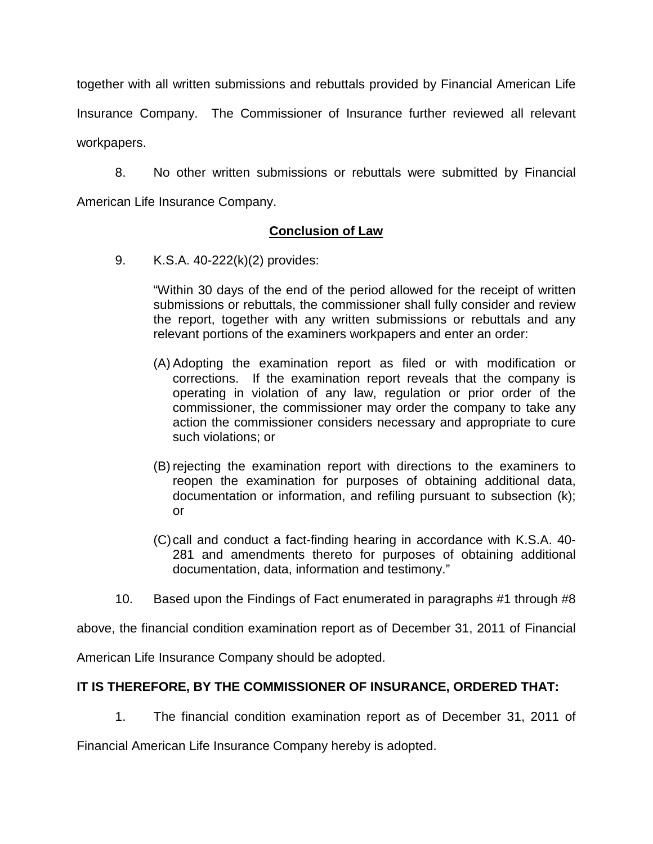together with all written submissions and rebuttals provided by Financial American Life Insurance Company. The Commissioner of Insurance further reviewed all relevant workpapers.

8. No other written submissions or rebuttals were submitted by Financial American Life Insurance Company.

### **Conclusion of Law**

9. K.S.A. 40-222(k)(2) provides:

"Within 30 days of the end of the period allowed for the receipt of written submissions or rebuttals, the commissioner shall fully consider and review the report, together with any written submissions or rebuttals and any relevant portions of the examiners workpapers and enter an order:

- (A) Adopting the examination report as filed or with modification or corrections. If the examination report reveals that the company is operating in violation of any law, regulation or prior order of the commissioner, the commissioner may order the company to take any action the commissioner considers necessary and appropriate to cure such violations; or
- (B) rejecting the examination report with directions to the examiners to reopen the examination for purposes of obtaining additional data, documentation or information, and refiling pursuant to subsection (k); or
- (C)call and conduct a fact-finding hearing in accordance with K.S.A. 40- 281 and amendments thereto for purposes of obtaining additional documentation, data, information and testimony."
- 10. Based upon the Findings of Fact enumerated in paragraphs #1 through #8

above, the financial condition examination report as of December 31, 2011 of Financial

American Life Insurance Company should be adopted.

## **IT IS THEREFORE, BY THE COMMISSIONER OF INSURANCE, ORDERED THAT:**

1. The financial condition examination report as of December 31, 2011 of

Financial American Life Insurance Company hereby is adopted.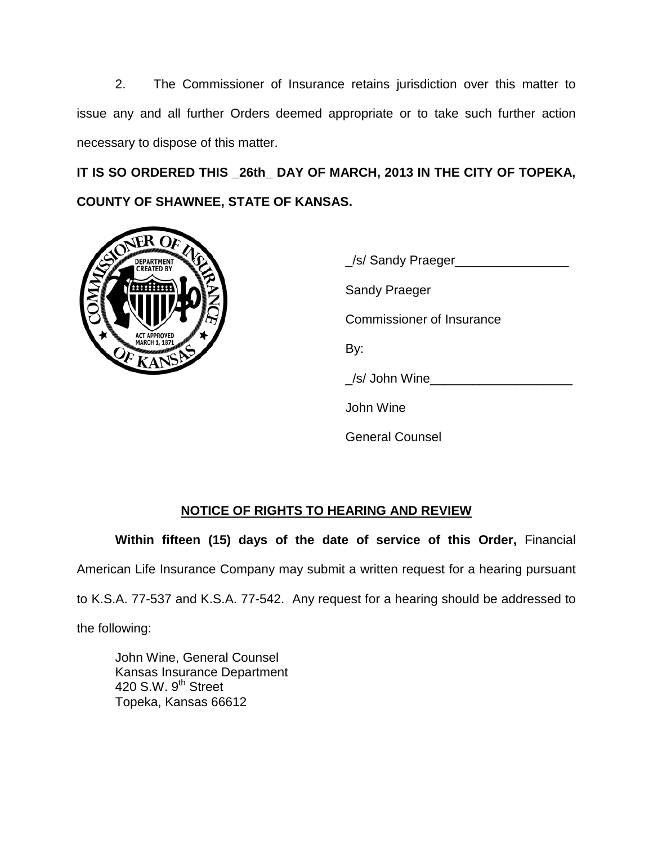2. The Commissioner of Insurance retains jurisdiction over this matter to issue any and all further Orders deemed appropriate or to take such further action necessary to dispose of this matter.

**IT IS SO ORDERED THIS \_26th\_ DAY OF MARCH, 2013 IN THE CITY OF TOPEKA, COUNTY OF SHAWNEE, STATE OF KANSAS.**



| S/ Sandy Praeger          |
|---------------------------|
| Sandy Praeger             |
| Commissioner of Insurance |
| By:                       |
| /s/ John Wine_            |
| John Wine                 |
| <b>General Counsel</b>    |

# **NOTICE OF RIGHTS TO HEARING AND REVIEW**

**Within fifteen (15) days of the date of service of this Order,** Financial American Life Insurance Company may submit a written request for a hearing pursuant

to K.S.A. 77-537 and K.S.A. 77-542. Any request for a hearing should be addressed to

the following:

John Wine, General Counsel Kansas Insurance Department 420 S.W. 9<sup>th</sup> Street Topeka, Kansas 66612